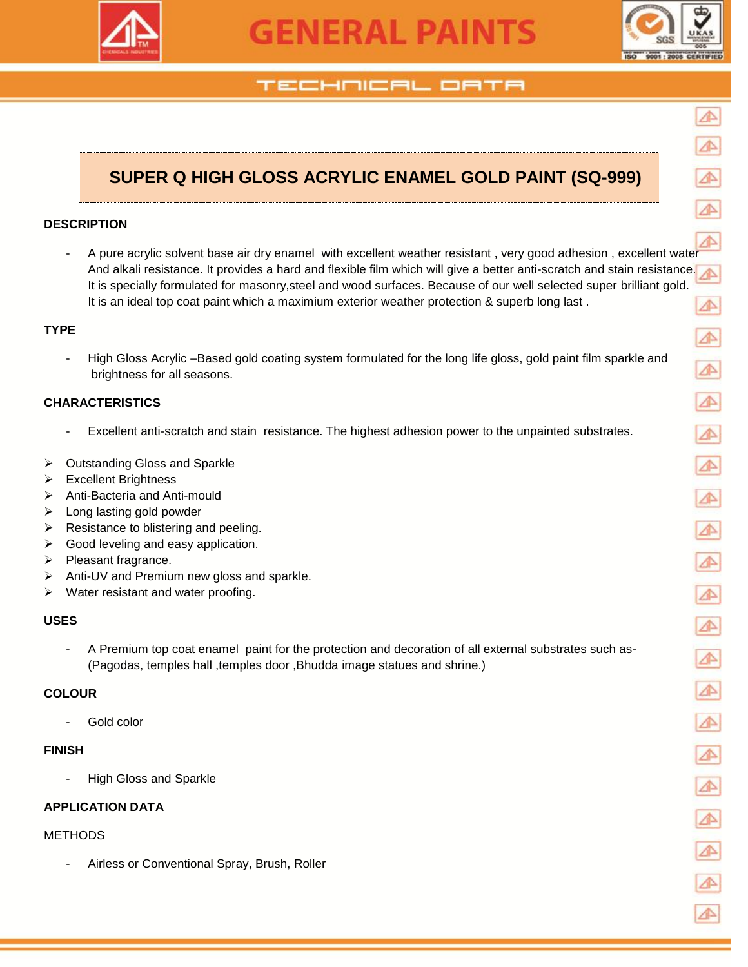

# **GENERAL PAINTS**



# TECHNICAL OATA

# **SUPER Q HIGH GLOSS ACRYLIC ENAMEL GOLD PAINT (SQ-999)**

# **DESCRIPTION**

A pure acrylic solvent base air dry enamel with excellent weather resistant, very good adhesion, excellent wate And alkali resistance. It provides a hard and flexible film which will give a better anti-scratch and stain resistance. It is specially formulated for masonry,steel and wood surfaces. Because of our well selected super brilliant gold. It is an ideal top coat paint which a maximium exterior weather protection & superb long last.

# **TYPE**

High Gloss Acrylic –Based gold coating system formulated for the long life gloss, gold paint film sparkle and brightness for all seasons.

# **CHARACTERISTICS**

- Excellent anti-scratch and stain resistance. The highest adhesion power to the unpainted substrates.
- **▶ Outstanding Gloss and Sparkle**
- > Excellent Brightness
- Anti-Bacteria and Anti-mould
- $\triangleright$  Long lasting gold powder
- $\triangleright$  Resistance to blistering and peeling.
- $\triangleright$  Good leveling and easy application.
- $\triangleright$  Pleasant fragrance.
- $\triangleright$  Anti-UV and Premium new gloss and sparkle.
- $\triangleright$  Water resistant and water proofing.

# **USES**

- A Premium top coat enamel paint for the protection and decoration of all external substrates such as- (Pagodas, temples hall ,temples door ,Bhudda image statues and shrine.)

# **COLOUR**

Gold color

# **FINISH**

High Gloss and Sparkle

# **APPLICATION DATA**

### METHODS

Airless or Conventional Spray, Brush, Roller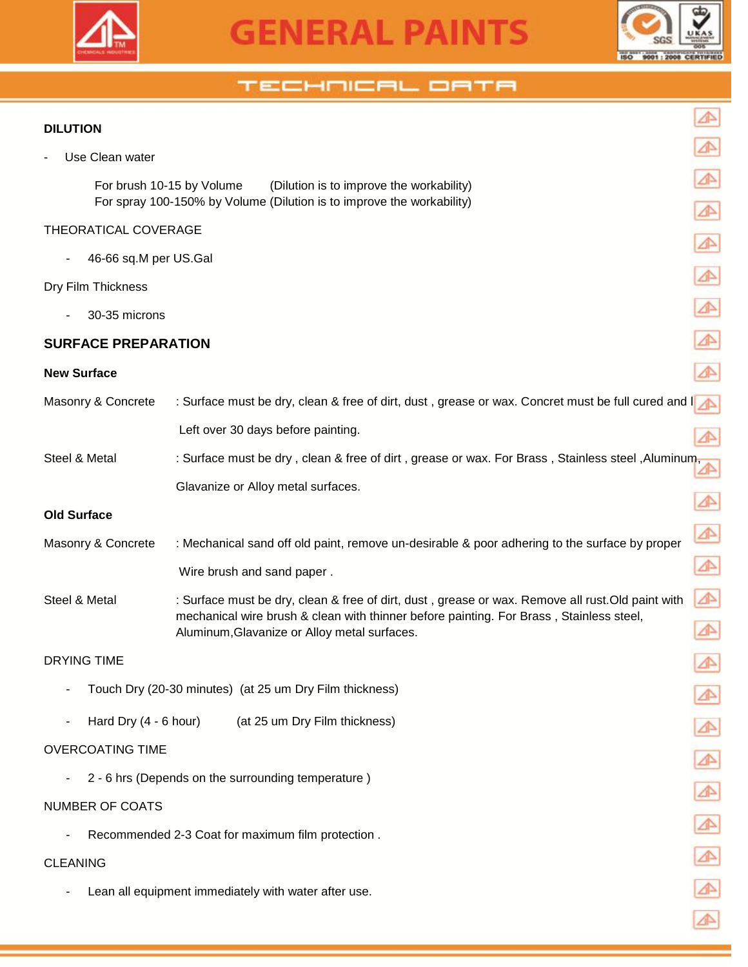



⚠

 $\triangle$ 

⚠

⚠

⚠

⚠

⚠

⚠

 $\blacktriangle$ 

# TECHNICAL ORTA

## **DILUTION**

Use Clean water

 For brush 10-15 by Volume (Dilution is to improve the workability) For spray 100-150% by Volume (Dilution is to improve the workability)

# THEORATICAL COVERAGE

- 46-66 sq.M per US.Gal

#### Dry Film Thickness

- 30-35 microns

# **SURFACE PREPARATION**

#### **New Surface**

| Masonry & Concrete      | : Surface must be dry, clean & free of dirt, dust, grease or wax. Concret must be full cured and I                                      |   |
|-------------------------|-----------------------------------------------------------------------------------------------------------------------------------------|---|
|                         | Left over 30 days before painting.                                                                                                      |   |
| Steel & Metal           | : Surface must be dry, clean & free of dirt, grease or wax. For Brass, Stainless steel, Aluminum,                                       |   |
|                         | Glavanize or Alloy metal surfaces.                                                                                                      |   |
| <b>Old Surface</b>      |                                                                                                                                         |   |
| Masonry & Concrete      | : Mechanical sand off old paint, remove un-desirable & poor adhering to the surface by proper                                           | ⚠ |
|                         | Wire brush and sand paper.                                                                                                              |   |
| Steel & Metal           | : Surface must be dry, clean & free of dirt, dust, grease or wax. Remove all rust. Old paint with                                       | ⚠ |
|                         | mechanical wire brush & clean with thinner before painting. For Brass, Stainless steel,<br>Aluminum, Glavanize or Alloy metal surfaces. |   |
| <b>DRYING TIME</b>      |                                                                                                                                         |   |
|                         | Touch Dry (20-30 minutes) (at 25 um Dry Film thickness)                                                                                 |   |
| Hard Dry $(4 - 6$ hour) | (at 25 um Dry Film thickness)                                                                                                           |   |
| <b>OVERCOATING TIME</b> |                                                                                                                                         |   |

- 2 - 6 hrs (Depends on the surrounding temperature )

# NUMBER OF COATS

- Recommended 2-3 Coat for maximum film protection .

# CLEANING

- Lean all equipment immediately with water after use.